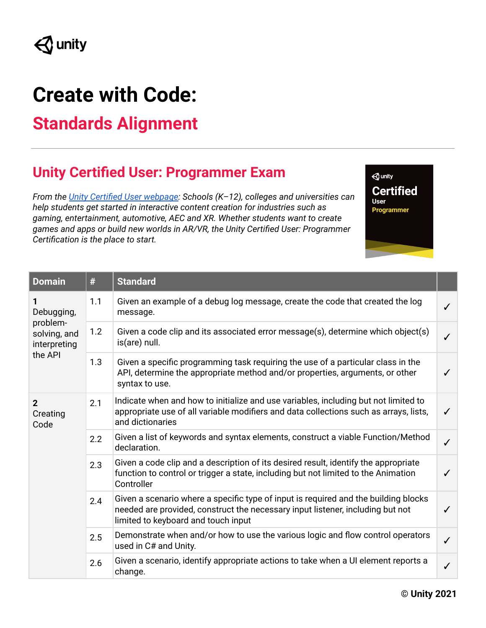## **Create with Code:**

## **Standards Alignment**

## **Unity Certified User: Programmer Exam**

*From the Unity Certified User [webpage:](https://certification.unity.com/products/unity-certified-user) Schools (K–12), colleges and universities can help students get started in interactive content creation for industries such as gaming, entertainment, automotive, AEC and XR. Whether students want to create games and apps or build new worlds in AR/VR, the Unity Certified User: Programmer Certification is the place to start.*

 $\triangle$  unity **Certified User** Programmer

| <b>Domain</b>                                                          | #   | <b>Standard</b>                                                                                                                                                                                              |              |
|------------------------------------------------------------------------|-----|--------------------------------------------------------------------------------------------------------------------------------------------------------------------------------------------------------------|--------------|
| 1<br>Debugging,<br>problem-<br>solving, and<br>interpreting<br>the API | 1.1 | Given an example of a debug log message, create the code that created the log<br>message.                                                                                                                    |              |
|                                                                        | 1.2 | Given a code clip and its associated error message(s), determine which object(s)<br>is(are) null.                                                                                                            | ✓            |
|                                                                        | 1.3 | Given a specific programming task requiring the use of a particular class in the<br>API, determine the appropriate method and/or properties, arguments, or other<br>syntax to use.                           | ✓            |
| $\overline{2}$<br>Creating<br>Code                                     | 2.1 | Indicate when and how to initialize and use variables, including but not limited to<br>appropriate use of all variable modifiers and data collections such as arrays, lists,<br>and dictionaries             | $\checkmark$ |
|                                                                        | 2.2 | Given a list of keywords and syntax elements, construct a viable Function/Method<br>declaration.                                                                                                             | $\checkmark$ |
|                                                                        | 2.3 | Given a code clip and a description of its desired result, identify the appropriate<br>function to control or trigger a state, including but not limited to the Animation<br>Controller                      | ✓            |
|                                                                        | 2.4 | Given a scenario where a specific type of input is required and the building blocks<br>needed are provided, construct the necessary input listener, including but not<br>limited to keyboard and touch input | ✓            |
|                                                                        | 2.5 | Demonstrate when and/or how to use the various logic and flow control operators<br>used in C# and Unity.                                                                                                     | $\checkmark$ |
|                                                                        | 2.6 | Given a scenario, identify appropriate actions to take when a UI element reports a<br>change.                                                                                                                | $\checkmark$ |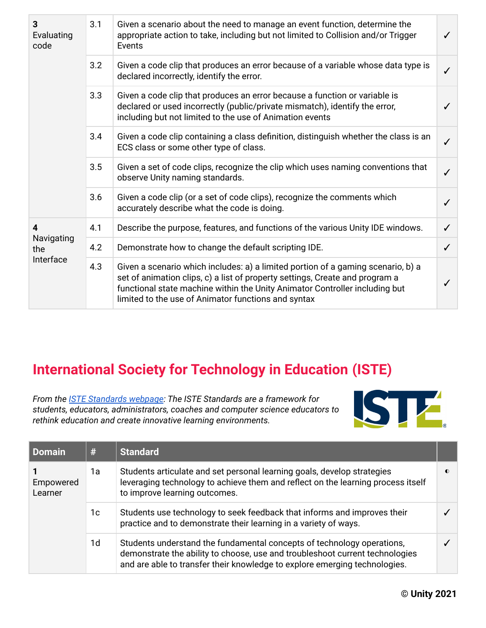| 3<br>Evaluating<br>code             | 3.1 | Given a scenario about the need to manage an event function, determine the<br>appropriate action to take, including but not limited to Collision and/or Trigger<br>Events                                                                                                                              | $\checkmark$ |
|-------------------------------------|-----|--------------------------------------------------------------------------------------------------------------------------------------------------------------------------------------------------------------------------------------------------------------------------------------------------------|--------------|
|                                     | 3.2 | Given a code clip that produces an error because of a variable whose data type is<br>declared incorrectly, identify the error.                                                                                                                                                                         | $\checkmark$ |
|                                     | 3.3 | Given a code clip that produces an error because a function or variable is<br>declared or used incorrectly (public/private mismatch), identify the error,<br>including but not limited to the use of Animation events                                                                                  |              |
|                                     | 3.4 | Given a code clip containing a class definition, distinguish whether the class is an<br>ECS class or some other type of class.                                                                                                                                                                         | $\checkmark$ |
|                                     | 3.5 | Given a set of code clips, recognize the clip which uses naming conventions that<br>observe Unity naming standards.                                                                                                                                                                                    | $\checkmark$ |
|                                     | 3.6 | Given a code clip (or a set of code clips), recognize the comments which<br>accurately describe what the code is doing.                                                                                                                                                                                | $\checkmark$ |
| 4<br>Navigating<br>the<br>Interface | 4.1 | Describe the purpose, features, and functions of the various Unity IDE windows.                                                                                                                                                                                                                        | ✓            |
|                                     | 4.2 | Demonstrate how to change the default scripting IDE.                                                                                                                                                                                                                                                   | $\checkmark$ |
|                                     | 4.3 | Given a scenario which includes: a) a limited portion of a gaming scenario, b) a<br>set of animation clips, c) a list of property settings, Create and program a<br>functional state machine within the Unity Animator Controller including but<br>limited to the use of Animator functions and syntax |              |

## **International Society for Technology in Education (ISTE)**

*From the ISTE [Standards](https://www.iste.org/standards) webpage: The ISTE Standards are a framework for students, educators, administrators, coaches and computer science educators to rethink education and create innovative learning environments.*



| Domain               | #  | <b>Standard</b>                                                                                                                                                                                                                      |    |
|----------------------|----|--------------------------------------------------------------------------------------------------------------------------------------------------------------------------------------------------------------------------------------|----|
| Empowered<br>Learner | 1a | Students articulate and set personal learning goals, develop strategies<br>leveraging technology to achieve them and reflect on the learning process itself<br>to improve learning outcomes.                                         | O) |
|                      | 1c | Students use technology to seek feedback that informs and improves their<br>practice and to demonstrate their learning in a variety of ways.                                                                                         |    |
|                      | 1d | Students understand the fundamental concepts of technology operations,<br>demonstrate the ability to choose, use and troubleshoot current technologies<br>and are able to transfer their knowledge to explore emerging technologies. |    |